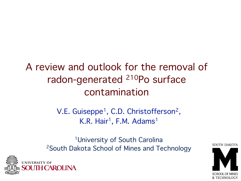### A review and outlook for the removal of radon-generated 210Po surface contamination

V.E. Guiseppe<sup>1</sup>, C.D. Christofferson<sup>2</sup>, K.R. Hair<sup>1</sup>, F.M. Adams<sup>1</sup>

<sup>1</sup>University of South Carolina 2South Dakota School of Mines and Technology



SOUTH DAKOTA

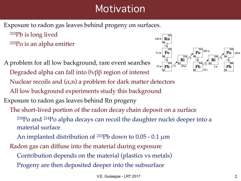### **Motivation**

**Rn 222**

> **Po 218**

> > **214**

**Po 214**

**Pb 210** **Bi 210**

**83**

β

 $160 \mu s$ 

**22 y**

**84**

α

**82**

**86**

**3.82 d**

**3.1 m**

α

**84**

Exposure to radon gas leaves behind progeny on surfaces.

210Pb is long lived 210Po is an alpha emitter

A problem for all low background, rare event searches Degraded alpha can fall into 0νββ region of interest Nuclear recoils and  $(\alpha, n)$  a problem for dark matter detectors All low background experiments study this background Exposure to radon gas leaves behind Rn progeny The short-lived portion of the radon decay chain deposit on a surface 218Po and 214Po alpha decays can recoil the daughter nuclei deeper into a material surface An implanted distribution of <sup>210</sup>Pb down to  $0.05$  - 0.1  $\mu$ m Radon gas can diffuse into the material during exposure **Pb 214 82 Bi 83**  $\alpha$   $\alpha$   $\beta$   $\alpha$   $\beta$   $\beta$   $\alpha$ β **20 m**  $27 \text{ m}$  **Pb**  $\angle 6$   $20 \text{ m}$  **Pb**  $\vert$  5d

Contribution depends on the material (plastics vs metals)

Progeny are then deposited deeper into the subsurface

**138 d**

**Po 210**

**Pb 206**

**84**

**82**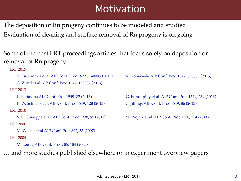### **Motivation**

The deposition of Rn progeny continues to be modeled and studied Evaluation of cleaning and surface removal of Rn progeny is on going

Some of the past LRT proceedings articles that focus solely on deposition or removal of Rn progeny

LRT 2015

M. Bruemmer et al AIP Conf. Proc 1672, 140005 (2015) K. Kobayashi AIP Conf. Proc 1672, 050003 (2015)

G. Zuzel et al AIP Conf. Proc 1672, 150002 (2015)

LRT 2013

R. W. Schnee et al. AIP Conf. Proc 1549, 128 (2013) C. Jillings AIP Conf. Proc 1549, 86 (2013) LRT 2010

V. E. Guiseppe et al. AIP Conf. Proc 1338, 95 (2011) M. Wójcik et al. AIP Conf. Proc 1338, 224 (2011) LRT 2006

M. Wójcik et al AIP Conf. Proc 897, 53 (2007)

LRT 2004

M. Leung AIP Conf. Proc 785, 184 (2005)

… and more studies published elsewhere or in experiment overview papers

L. Pattavina AIP Conf. Proc 1549, 82 (2013) G. Perumpilly et al. AIP Conf. Proc 1549, 239 (2013)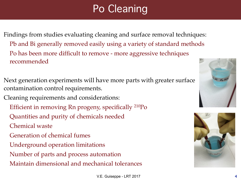# Po Cleaning

Findings from studies evaluating cleaning and surface removal techniques: Pb and Bi generally removed easily using a variety of standard methods Po has been more difficult to remove - more aggressive techniques recommended

Next generation experiments will have more parts with greater surface contamination control requirements.

Cleaning requirements and considerations:

- Efficient in removing Rn progeny, specifically 210Po
- Quantities and purity of chemicals needed
- Chemical waste
- Generation of chemical fumes
- Underground operation limitations
- Number of parts and process automation
- Maintain dimensional and mechanical tolerances



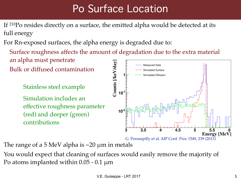# Po Surface Location

If 210Po resides directly on a surface, the emitted alpha would be detected at its full energy

For Rn-exposed surfaces, the alpha energy is degraded due to:

Surface roughness affects the amount of degradation due to the extra material an alpha must penetrate

Bulk or diffused contamination

Stainless steel example

Simulation includes an effective roughness parameter (red) and deeper (green) contributions



The range of a 5 MeV alpha is  $\sim$ 20  $\mu$ m in metals

You would expect that cleaning of surfaces would easily remove the majority of Po atoms implanted within  $0.05$  -  $0.1 \mu m$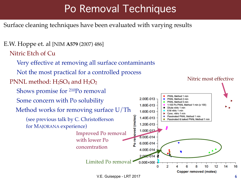## Po Removal Techniques

Surface cleaning techniques have been evaluated with varying results

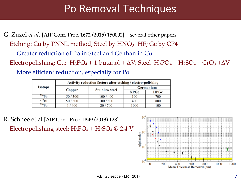### Po Removal Techniques

G. Zuzel *et al.* [AIP Conf. Proc. **1672** (2015) 150002] + several other papers

Etching: Cu by PNNL method; Steel by  $HNO<sub>3</sub>+HF$ ; Ge by CP4

Greater reduction of Po in Steel and Ge than in Cu

Electropolishing: Cu: H<sub>3</sub>PO<sub>4</sub> + 1-butanol +  $\Delta V$ ; Steel H<sub>3</sub>PO<sub>4</sub> + H<sub>2</sub>SO<sub>4</sub> + CrO<sub>3</sub> +  $\Delta V$ 

More efficient reduction, especially for Po

| <b>Isotope</b>      | Activity reduction factors after etching / electro-polishing |                        |           |      |
|---------------------|--------------------------------------------------------------|------------------------|-----------|------|
|                     | Copper                                                       | <b>Stainless steel</b> | Germanium |      |
|                     |                                                              |                        | NPGe      | HPGe |
| $^{210}\mathrm{Pb}$ | 50/300                                                       | 100 / 400              | 100       | 700  |
| $^{210}$ Bi         | 50/300                                                       | 100 / 800              | 400       | 800  |
| $^{210}Po$          | 400                                                          | 20 / 700               | 1000      | 100  |

R. Schnee et al [AIP Conf. Proc. **1549** (2013) 128] Electropolishing steel:  $H_3PO_4 + H_2SO_4 \omega$  2.4 V

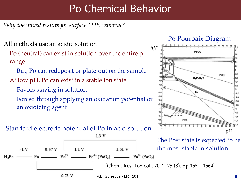## Po Chemical Behavior

*Why the mixed results for surface 210Po removal?*

All methods use an acidic solution

Po (neutral) can exist in solution over the entire pH range

But, Po can redeposit or plate-out on the sample

At low pH, Po can exist in a stable ion state

Favors staying in solution

Forced through applying an oxidation potential or an oxidizing agent

#### Standard electrode potential of Po in acid solution

#### 13 V The  $Po^{4+}$  state is expected to be the most stable in solution  $1.51V$  $-1V$  $0.37V$  $1.1V$  $Po^{2+}$  \_\_\_\_\_\_\_\_  $Po^{4+} (PoO_2)$  \_\_\_\_\_\_\_\_\_\_  $Po^{6+} (PoO_3)$ — Po –  $H_2P_0$  -[Chem. Res. Toxicol., 2012, 25 (8), pp 1551–1564] $0.73$  V V.E. Guiseppe - LRT 2017 8

#### Po Pourbaix Diagram

![](_page_7_Figure_11.jpeg)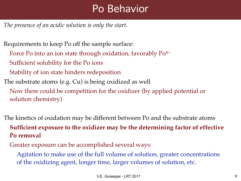### Po Behavior

*The presence of an acidic solution is only the start.*

Requirements to keep Po off the sample surface:

- Force Po into an ion state through oxidation, favorably Po<sup>4+</sup>
- Sufficient solubility for the Po ions
- Stability of ion state hinders redeposition
- The substrate atoms (e.g. Cu) is being oxidized as well
	- Now there could be competition for the oxidizer (by applied potential or solution chemistry)

The kinetics of oxidation may be different between Po and the substrate atoms **Sufficient exposure to the oxidizer may be the determining factor of effective Po removal**

Greater exposure can be accomplished several ways:

Agitation to make use of the full volume of solution, greater concentrations of the oxidizing agent, longer time, larger volumes of solution, etc.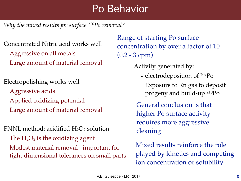### Po Behavior

*Why the mixed results for surface 210Po removal?*

Concentrated Nitric acid works well Aggressive on all metals Large amount of material removal

Electropolishing works well Aggressive acids Applied oxidizing potential Large amount of material removal

PNNL method: acidified  $H_2O_2$  solution The  $H_2O_2$  is the oxidizing agent Modest material removal - important for tight dimensional tolerances on small parts

Range of starting Po surface concentration by over a factor of 10 (0.2 - 3 cpm)

Activity generated by:

- electrodeposition of 209Po
- Exposure to Rn gas to deposit progeny and build-up 210Po

General conclusion is that higher Po surface activity requires more aggressive cleaning

Mixed results reinforce the role played by kinetics and competing ion concentration or solubility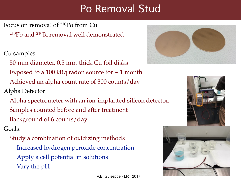### Po Removal Stud

Focus on removal of 210Po from Cu

210Pb and 210Bi removal well demonstrated

Cu samples

50-mm diameter, 0.5 mm-thick Cu foil disks

Exposed to a 100 kBq radon source for  $\sim$  1 month

Achieved an alpha count rate of 300 counts/day

Alpha Detector

Alpha spectrometer with an ion-implanted silicon detector.

Samples counted before and after treatment

Background of 6 counts/day

Goals:

Study a combination of oxidizing methods Increased hydrogen peroxide concentration Apply a cell potential in solutions Vary the pH

![](_page_10_Picture_14.jpeg)

![](_page_10_Picture_15.jpeg)

![](_page_10_Picture_16.jpeg)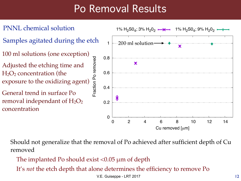- PNNL chemical solution
- Samples agitated during the etch
- 100 ml solutions (one exception)
- Fraction Po removed Fraction Po removed Adjusted the etching time and  $H<sub>2</sub>O<sub>2</sub>$  concentration (the exposure to the oxidizing agent)
- General trend in surface Po removal independant of  $H_2O_2$ concentration

![](_page_11_Figure_6.jpeg)

Should not generalize that the removal of Po achieved after sufficient depth of Cu removed

- The implanted Po should exist  $< 0.05 \mu m$  of depth
- It's *not* the etch depth that alone determines the efficiency to remove Po

V.E. Guiseppe - LRT 2017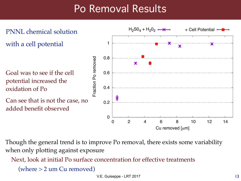![](_page_12_Figure_1.jpeg)

Though the general trend is to improve Po removal, there exists some variability when only plotting against exposure

Next, look at initial Po surface concentration for effective treatments

(where  $> 2$  um Cu removed)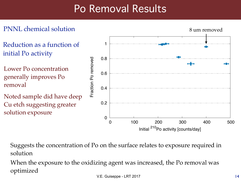### PNNL chemical solution

- Reduction as a function of initial Po activity
- Lower Po concentration generally improves Po removal
- Noted sample did have deep Cu etch suggesting greater solution exposure

![](_page_13_Figure_5.jpeg)

Suggests the concentration of Po on the surface relates to exposure required in solution

When the exposure to the oxidizing agent was increased, the Po removal was optimized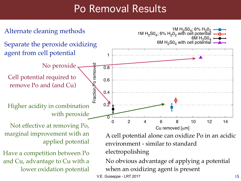![](_page_14_Figure_1.jpeg)